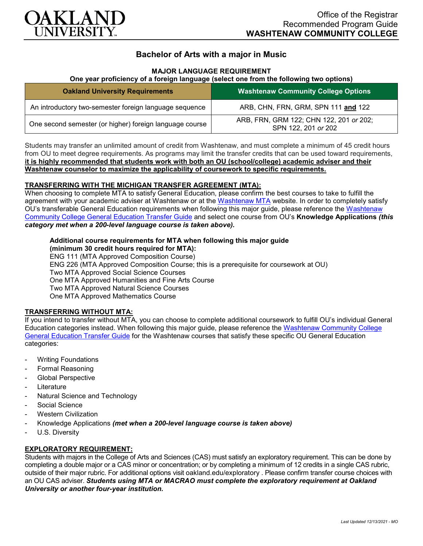

# **Bachelor of Arts with a major in Music**

### **MAJOR LANGUAGE REQUIREMENT**

### **One year proficiency of a foreign language (select one from the following two options)**

| <b>Oakland University Requirements</b>                  | <b>Washtenaw Community College Options</b>                     |
|---------------------------------------------------------|----------------------------------------------------------------|
| An introductory two-semester foreign language sequence  | ARB, CHN, FRN, GRM, SPN 111 and 122                            |
| One second semester (or higher) foreign language course | ARB, FRN, GRM 122; CHN 122, 201 or 202;<br>SPN 122, 201 or 202 |

Students may transfer an unlimited amount of credit from Washtenaw, and must complete a minimum of 45 credit hours from OU to meet degree requirements. As programs may limit the transfer credits that can be used toward requirements, **it is highly recommended that students work with both an OU (school/college) academic adviser and their Washtenaw counselor to maximize the applicability of coursework to specific requirements.**

### **TRANSFERRING WITH THE MICHIGAN TRANSFER AGREEMENT (MTA):**

When choosing to complete MTA to satisfy General Education, please confirm the best courses to take to fulfill the agreement with your academic adviser at Washtenaw or at the [Washtenaw MTA](https://www.wccnet.edu/learn/transfer-wcc-credits/mta.php) website. In order to completely satisfy OU's transferable General Education requirements when following this major guide, please reference the [Washtenaw](https://www.oakland.edu/Assets/Oakland/program-guides/washtenaw-community-college/university-general-education-requirements/Washtenaw%20Gen%20Ed.pdf)  [Community College General Education Transfer Guide](https://www.oakland.edu/Assets/Oakland/program-guides/washtenaw-community-college/university-general-education-requirements/Washtenaw%20Gen%20Ed.pdf) and select one course from OU's **Knowledge Applications** *(this category met when a 200-level language course is taken above).*

#### **Additional course requirements for MTA when following this major guide (minimum 30 credit hours required for MTA):**

ENG 111 (MTA Approved Composition Course) ENG 226 (MTA Approved Composition Course; this is a prerequisite for coursework at OU) Two MTA Approved Social Science Courses One MTA Approved Humanities and Fine Arts Course Two MTA Approved Natural Science Courses One MTA Approved Mathematics Course

### **TRANSFERRING WITHOUT MTA:**

If you intend to transfer without MTA, you can choose to complete additional coursework to fulfill OU's individual General Education categories instead. When following this major guide, please reference the [Washtenaw Community College](https://www.oakland.edu/Assets/Oakland/program-guides/washtenaw-community-college/university-general-education-requirements/Washtenaw%20Gen%20Ed.pdf)  [General Education Transfer Guide](https://www.oakland.edu/Assets/Oakland/program-guides/washtenaw-community-college/university-general-education-requirements/Washtenaw%20Gen%20Ed.pdf) for the Washtenaw courses that satisfy these specific OU General Education categories:

- **Writing Foundations**
- Formal Reasoning
- Global Perspective
- **Literature**
- Natural Science and Technology
- Social Science
- **Western Civilization**
- Knowledge Applications *(met when a 200-level language course is taken above)*
- U.S. Diversity

## **EXPLORATORY REQUIREMENT:**

Students with majors in the College of Arts and Sciences (CAS) must satisfy an exploratory requirement. This can be done by completing a double major or a CAS minor or concentration; or by completing a minimum of 12 credits in a single CAS rubric, outside of their major rubric. For additional options visit [oakland.edu/exploratory](http://www.oakland.edu/exploratory) . Please confirm transfer course choices with an OU CAS adviser. *Students using MTA or MACRAO must complete the exploratory requirement at Oakland University or another four-year institution.*